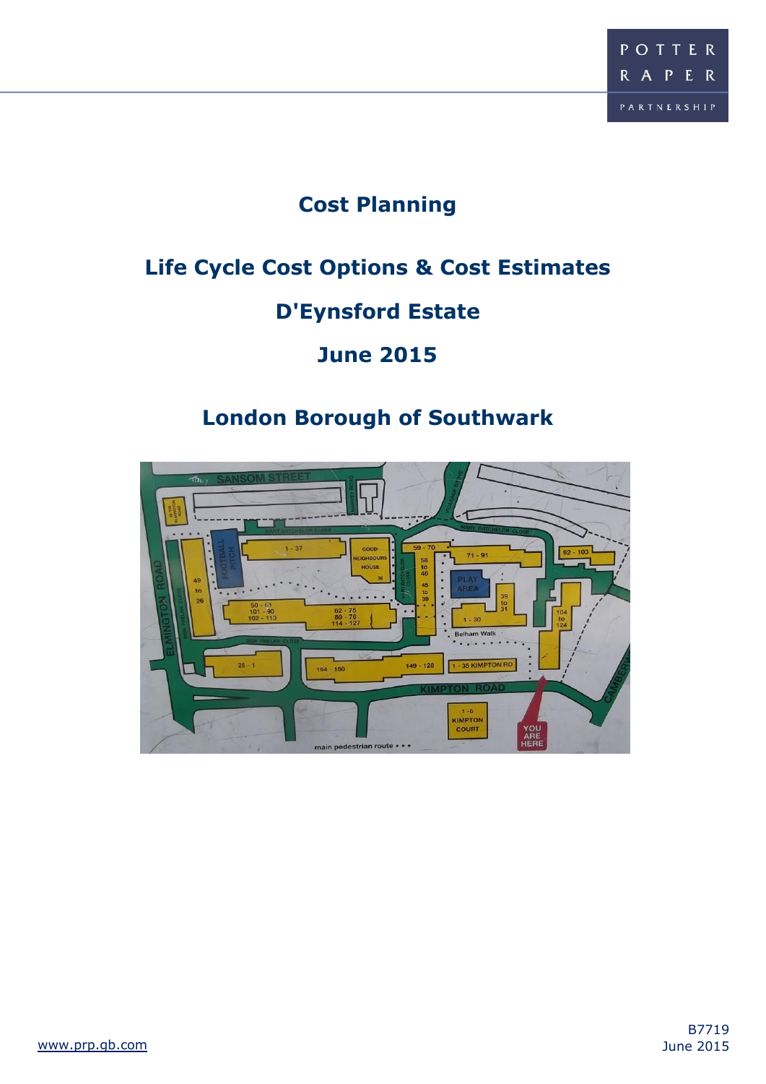# **Cost Planning**

# **Life Cycle Cost Options & Cost Estimates**

# **D'Eynsford Estate**

# **June 2015**

# **London Borough of Southwark**

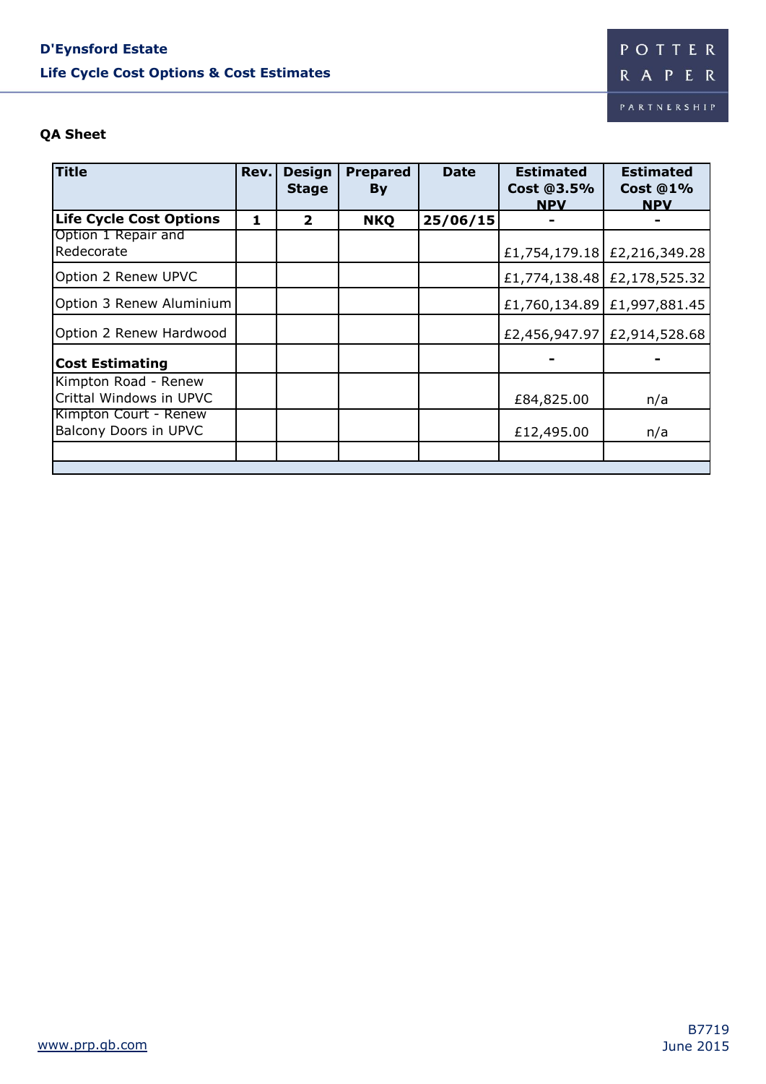# **D'Eynsford Estate Life Cycle Cost Options & Cost Estimates**

## **QA Sheet**

| <b>Title</b>                                    | Rev. | <b>Design</b><br><b>Stage</b> | <b>Prepared</b><br>By | <b>Date</b> | <b>Estimated</b><br>Cost @3.5%<br><b>NPV</b> | <b>Estimated</b><br><b>Cost @1%</b><br><b>NPV</b> |
|-------------------------------------------------|------|-------------------------------|-----------------------|-------------|----------------------------------------------|---------------------------------------------------|
| <b>Life Cycle Cost Options</b>                  | 1    | $\overline{2}$                | <b>NKQ</b>            | 25/06/15    |                                              |                                                   |
| Option 1 Repair and<br>Redecorate               |      |                               |                       |             |                                              | £1,754,179.18 £2,216,349.28                       |
| Option 2 Renew UPVC                             |      |                               |                       |             |                                              | £1,774,138.48 £2,178,525.32                       |
| Option 3 Renew Aluminium                        |      |                               |                       |             |                                              | £1,760,134.89 £1,997,881.45                       |
| Option 2 Renew Hardwood                         |      |                               |                       |             |                                              | £2,456,947.97 £2,914,528.68                       |
| <b>Cost Estimating</b>                          |      |                               |                       |             |                                              |                                                   |
| Kimpton Road - Renew<br>Crittal Windows in UPVC |      |                               |                       |             | £84,825.00                                   | n/a                                               |
| Kimpton Court - Renew<br>Balcony Doors in UPVC  |      |                               |                       |             | £12,495.00                                   | n/a                                               |
|                                                 |      |                               |                       |             |                                              |                                                   |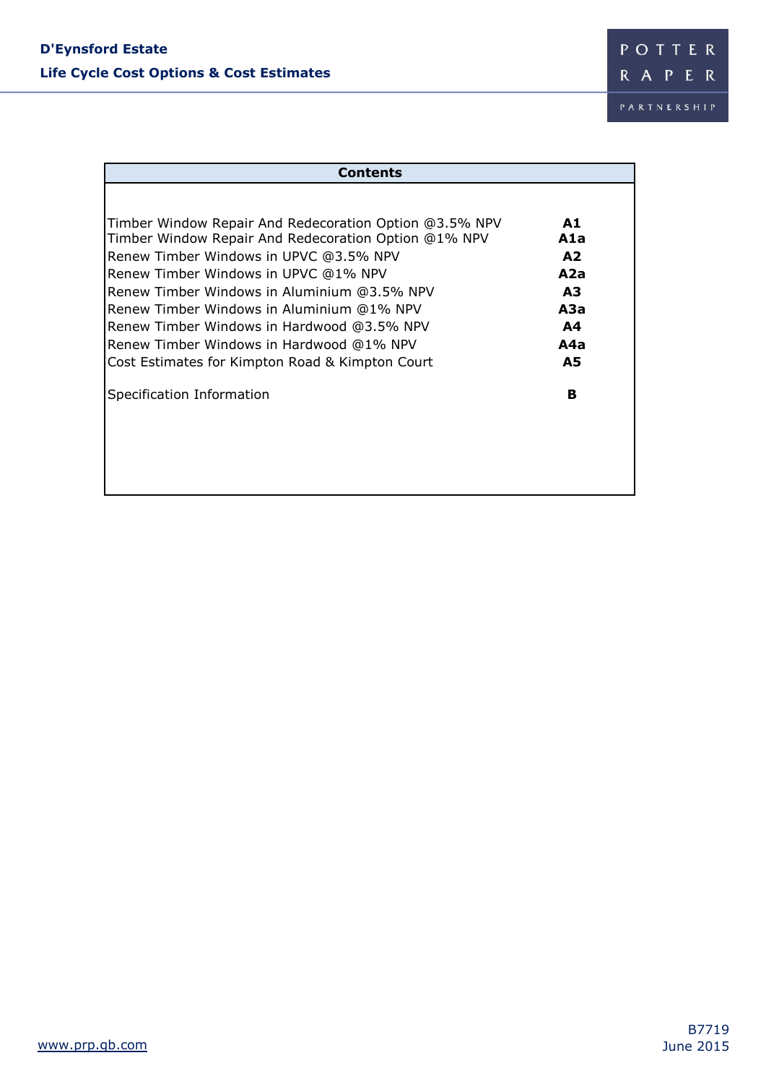| <b>Contents</b>                                        |                |
|--------------------------------------------------------|----------------|
|                                                        |                |
| Timber Window Repair And Redecoration Option @3.5% NPV | A1             |
| Timber Window Repair And Redecoration Option @1% NPV   | A1a            |
| Renew Timber Windows in UPVC @3.5% NPV                 | A2             |
| Renew Timber Windows in UPVC @1% NPV                   | A2a            |
| Renew Timber Windows in Aluminium @3.5% NPV            | A3             |
| Renew Timber Windows in Aluminium @1% NPV              | АЗа            |
| Renew Timber Windows in Hardwood @3.5% NPV             | A <sub>4</sub> |
| Renew Timber Windows in Hardwood @1% NPV               | A4a            |
| Cost Estimates for Kimpton Road & Kimpton Court        | <b>A5</b>      |
| Specification Information                              | в              |
|                                                        |                |
|                                                        |                |
|                                                        |                |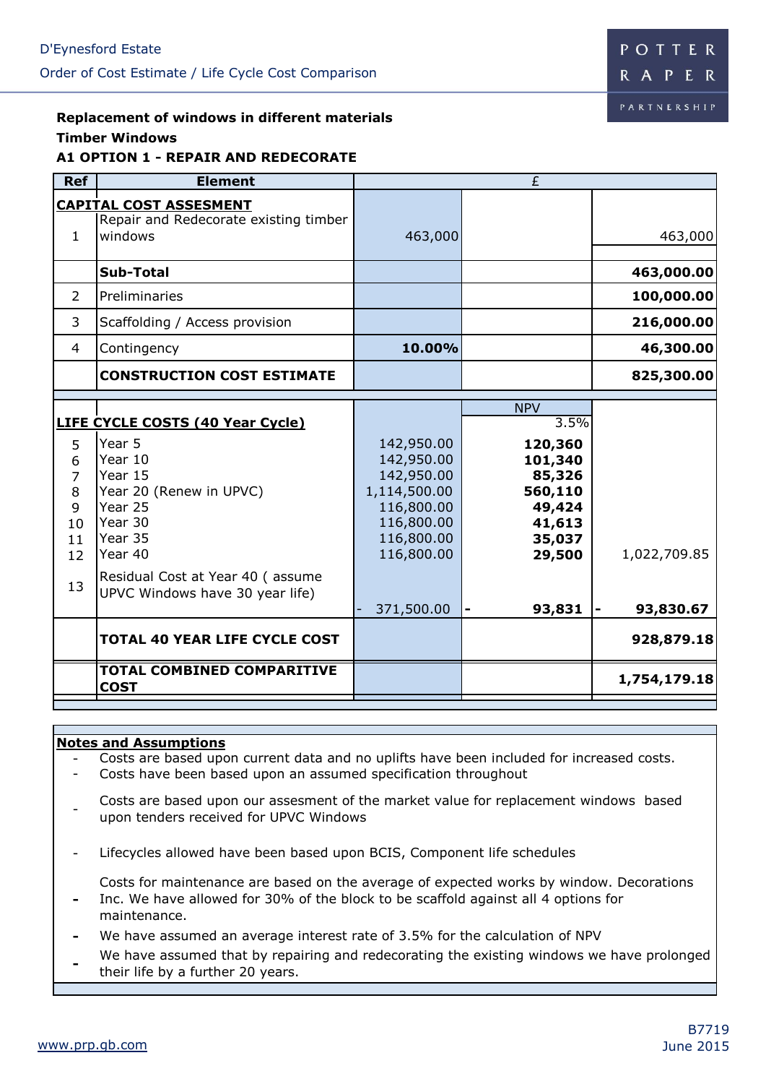

### **Replacement of windows in different materials Timber Windows A1 OPTION 1 - REPAIR AND REDECORATE**

| <b>Ref</b>                                                 | <b>Element</b>                                                                                                                                                             |                                                                                                                | £                                                                               |              |
|------------------------------------------------------------|----------------------------------------------------------------------------------------------------------------------------------------------------------------------------|----------------------------------------------------------------------------------------------------------------|---------------------------------------------------------------------------------|--------------|
| $\mathbf{1}$                                               | <b>CAPITAL COST ASSESMENT</b><br>Repair and Redecorate existing timber<br>windows                                                                                          | 463,000                                                                                                        |                                                                                 | 463,000      |
|                                                            | Sub-Total                                                                                                                                                                  |                                                                                                                |                                                                                 | 463,000.00   |
| $\overline{2}$                                             | Preliminaries                                                                                                                                                              |                                                                                                                |                                                                                 | 100,000.00   |
| 3                                                          | Scaffolding / Access provision                                                                                                                                             |                                                                                                                |                                                                                 | 216,000.00   |
| $\overline{4}$                                             | Contingency                                                                                                                                                                | 10.00%                                                                                                         |                                                                                 | 46,300.00    |
|                                                            | <b>CONSTRUCTION COST ESTIMATE</b>                                                                                                                                          |                                                                                                                |                                                                                 | 825,300.00   |
|                                                            |                                                                                                                                                                            |                                                                                                                | <b>NPV</b>                                                                      |              |
|                                                            | <b>LIFE CYCLE COSTS (40 Year Cycle)</b>                                                                                                                                    |                                                                                                                | 3.5%                                                                            |              |
| 5<br>6<br>$\overline{7}$<br>8<br>9<br>10<br>11<br>12<br>13 | Year 5<br>Year 10<br>Year 15<br>Year 20 (Renew in UPVC)<br>Year 25<br>Year 30<br>Year 35<br>Year 40<br>Residual Cost at Year 40 (assume<br>UPVC Windows have 30 year life) | 142,950.00<br>142,950.00<br>142,950.00<br>1,114,500.00<br>116,800.00<br>116,800.00<br>116,800.00<br>116,800.00 | 120,360<br>101,340<br>85,326<br>560,110<br>49,424<br>41,613<br>35,037<br>29,500 | 1,022,709.85 |
|                                                            |                                                                                                                                                                            | 371,500.00                                                                                                     | 93,831                                                                          | 93,830.67    |
|                                                            | <b>TOTAL 40 YEAR LIFE CYCLE COST</b>                                                                                                                                       |                                                                                                                |                                                                                 | 928,879.18   |
|                                                            | <b>TOTAL COMBINED COMPARITIVE</b><br><b>COST</b>                                                                                                                           |                                                                                                                |                                                                                 | 1,754,179.18 |

### **Notes and Assumptions**

- Costs are based upon current data and no uplifts have been included for increased costs.
- Costs have been based upon an assumed specification throughout
- Costs are based upon our assesment of the market value for replacement windows based upon tenders received for UPVC Windows
- Lifecycles allowed have been based upon BCIS, Component life schedules
	- Costs for maintenance are based on the average of expected works by window. Decorations
- **-** Inc. We have allowed for 30% of the block to be scaffold against all 4 options for maintenance.
- **-** We have assumed an average interest rate of 3.5% for the calculation of NPV
- **-** We have assumed that by repairing and redecorating the existing windows we have prolonged their life by a further 20 years.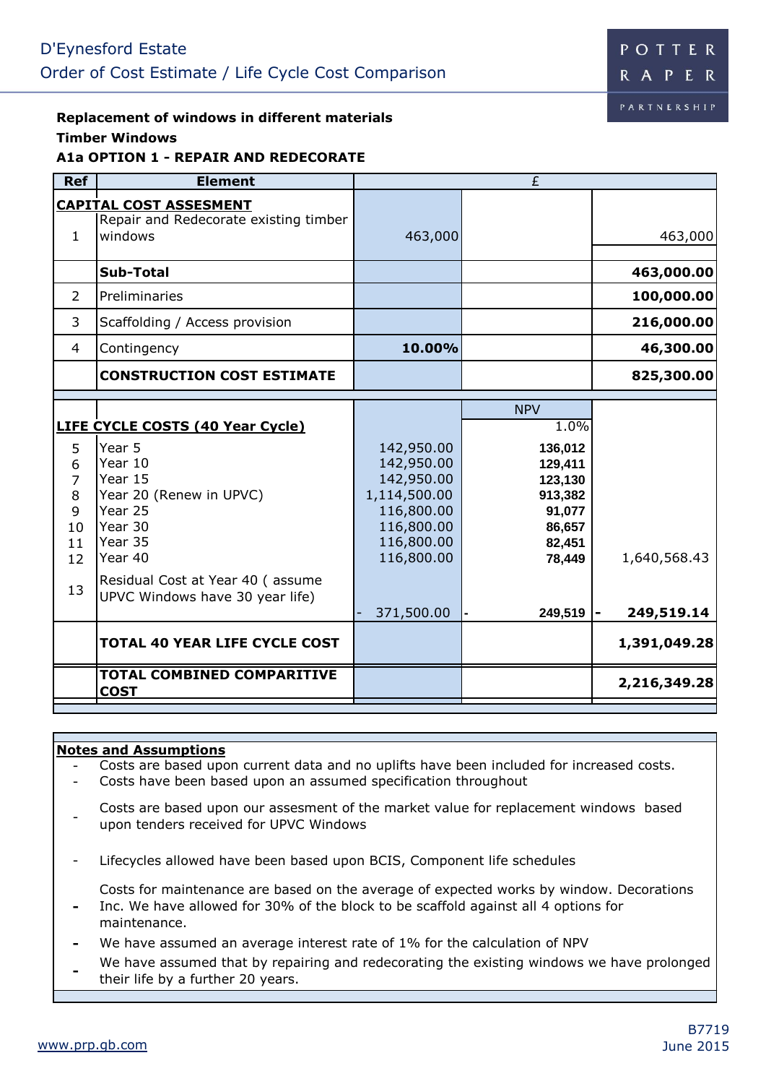# **Replacement of windows in different materials Timber Windows**

## **A1a OPTION 1 - REPAIR AND REDECORATE**

| <b>Ref</b>                                                              | <b>Element</b>                                                                                                                                                                                                                                         |                                                                                                                              | $\overline{E}$                                                                                                    |                                            |
|-------------------------------------------------------------------------|--------------------------------------------------------------------------------------------------------------------------------------------------------------------------------------------------------------------------------------------------------|------------------------------------------------------------------------------------------------------------------------------|-------------------------------------------------------------------------------------------------------------------|--------------------------------------------|
| $\mathbf{1}$                                                            | <b>CAPITAL COST ASSESMENT</b><br>Repair and Redecorate existing timber<br>windows                                                                                                                                                                      | 463,000                                                                                                                      |                                                                                                                   | 463,000                                    |
|                                                                         | <b>Sub-Total</b>                                                                                                                                                                                                                                       |                                                                                                                              |                                                                                                                   | 463,000.00                                 |
| 2                                                                       | Preliminaries                                                                                                                                                                                                                                          |                                                                                                                              |                                                                                                                   | 100,000.00                                 |
| 3                                                                       | Scaffolding / Access provision                                                                                                                                                                                                                         |                                                                                                                              |                                                                                                                   | 216,000.00                                 |
| 4                                                                       | Contingency                                                                                                                                                                                                                                            | 10.00%                                                                                                                       |                                                                                                                   | 46,300.00                                  |
|                                                                         | <b>CONSTRUCTION COST ESTIMATE</b>                                                                                                                                                                                                                      |                                                                                                                              |                                                                                                                   | 825,300.00                                 |
| 5<br>6<br>$\overline{7}$<br>8<br>9<br>10<br>11<br>12 <sup>2</sup><br>13 | LIFE CYCLE COSTS (40 Year Cycle)<br>Year 5<br>Year 10<br>Year 15<br>Year 20 (Renew in UPVC)<br>Year 25<br>Year 30<br>Year 35<br>Year 40<br>Residual Cost at Year 40 (assume<br>UPVC Windows have 30 year life)<br><b>TOTAL 40 YEAR LIFE CYCLE COST</b> | 142,950.00<br>142,950.00<br>142,950.00<br>1,114,500.00<br>116,800.00<br>116,800.00<br>116,800.00<br>116,800.00<br>371,500.00 | <b>NPV</b><br>1.0%<br>136,012<br>129,411<br>123,130<br>913,382<br>91,077<br>86,657<br>82,451<br>78,449<br>249,519 | 1,640,568.43<br>249,519.14<br>1,391,049.28 |
|                                                                         |                                                                                                                                                                                                                                                        |                                                                                                                              |                                                                                                                   |                                            |
|                                                                         | <b>TOTAL COMBINED COMPARITIVE</b><br><b>COST</b>                                                                                                                                                                                                       |                                                                                                                              |                                                                                                                   | 2,216,349.28                               |

### **Notes and Assumptions**

- Costs are based upon current data and no uplifts have been included for increased costs.

- Costs have been based upon an assumed specification throughout
- Costs are based upon our assesment of the market value for replacement windows based upon tenders received for UPVC Windows
- Lifecycles allowed have been based upon BCIS, Component life schedules

Costs for maintenance are based on the average of expected works by window. Decorations Inc. We have allowed for 30% of the block to be scaffold against all 4 options for

- maintenance.
- **-** We have assumed an average interest rate of 1% for the calculation of NPV
- **-** We have assumed that by repairing and redecorating the existing windows we have prolonged
- their life by a further 20 years.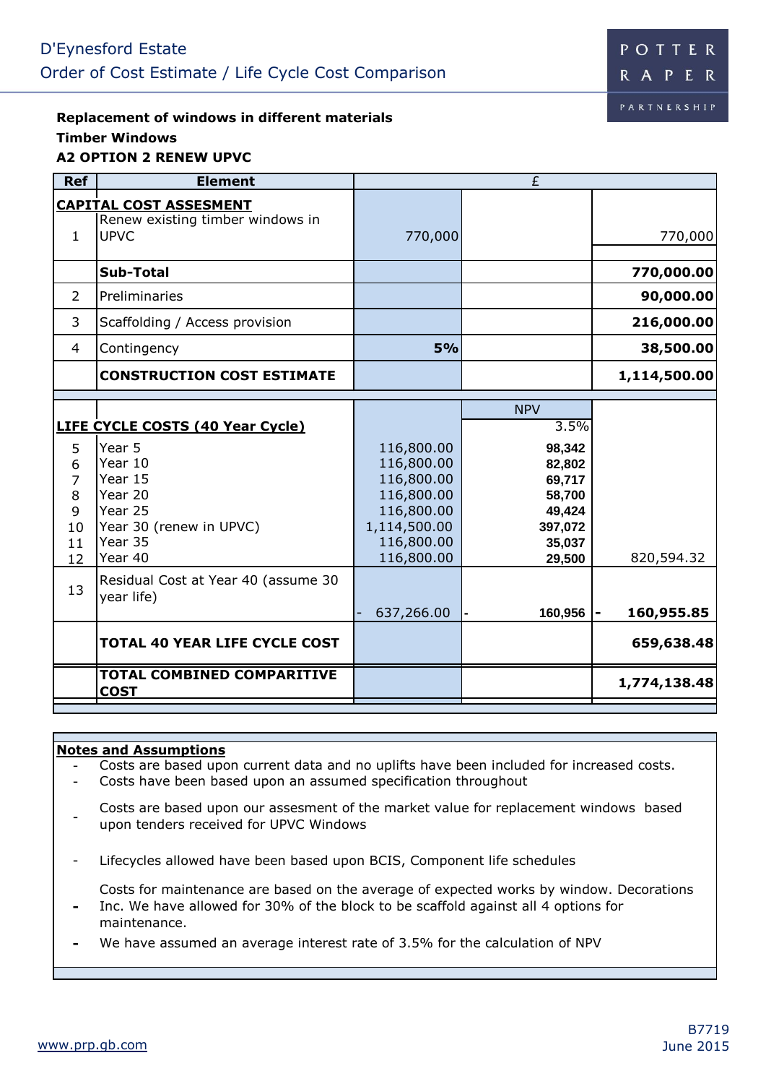**Replacement of windows in different materials Timber Windows A2 OPTION 2 RENEW UPVC**

| <b>Ref</b>                                                 | <b>Element</b>                                                                                                                                                                        |                                                                                                                | £                                                                                                   |                          |
|------------------------------------------------------------|---------------------------------------------------------------------------------------------------------------------------------------------------------------------------------------|----------------------------------------------------------------------------------------------------------------|-----------------------------------------------------------------------------------------------------|--------------------------|
| $\mathbf{1}$                                               | <b>CAPITAL COST ASSESMENT</b><br>Renew existing timber windows in<br><b>UPVC</b>                                                                                                      | 770,000                                                                                                        |                                                                                                     | 770,000                  |
|                                                            | <b>Sub-Total</b>                                                                                                                                                                      |                                                                                                                |                                                                                                     | 770,000.00               |
| $\overline{2}$                                             | Preliminaries                                                                                                                                                                         |                                                                                                                |                                                                                                     | 90,000.00                |
| 3                                                          | Scaffolding / Access provision                                                                                                                                                        |                                                                                                                |                                                                                                     | 216,000.00               |
| 4                                                          | Contingency                                                                                                                                                                           | 5%                                                                                                             |                                                                                                     | 38,500.00                |
|                                                            | <b>CONSTRUCTION COST ESTIMATE</b>                                                                                                                                                     |                                                                                                                |                                                                                                     | 1,114,500.00             |
| 5<br>6<br>7<br>8<br>9<br>10<br>11<br>12 <sup>2</sup><br>13 | <b>LIFE CYCLE COSTS (40 Year Cycle)</b><br>Year 5<br>Year 10<br>Year 15<br>Year 20<br>Year 25<br>Year 30 (renew in UPVC)<br>Year 35<br>Year 40<br>Residual Cost at Year 40 (assume 30 | 116,800.00<br>116,800.00<br>116,800.00<br>116,800.00<br>116,800.00<br>1,114,500.00<br>116,800.00<br>116,800.00 | <b>NPV</b><br>3.5%<br>98,342<br>82,802<br>69,717<br>58,700<br>49,424<br>397,072<br>35,037<br>29,500 | 820,594.32               |
|                                                            | year life)<br><b>TOTAL 40 YEAR LIFE CYCLE COST</b>                                                                                                                                    | 637,266.00                                                                                                     | 160,956                                                                                             | 160,955.85<br>659,638.48 |
|                                                            | <b>TOTAL COMBINED COMPARITIVE</b><br><b>COST</b>                                                                                                                                      |                                                                                                                |                                                                                                     | 1,774,138.48             |

### **Notes and Assumptions**

- Costs are based upon current data and no uplifts have been included for increased costs.

- Costs have been based upon an assumed specification throughout

- Costs are based upon our assesment of the market value for replacement windows based upon tenders received for UPVC Windows

- Lifecycles allowed have been based upon BCIS, Component life schedules

Costs for maintenance are based on the average of expected works by window. Decorations Inc. We have allowed for 30% of the block to be scaffold against all 4 options for

- maintenance.
- **-** We have assumed an average interest rate of 3.5% for the calculation of NPV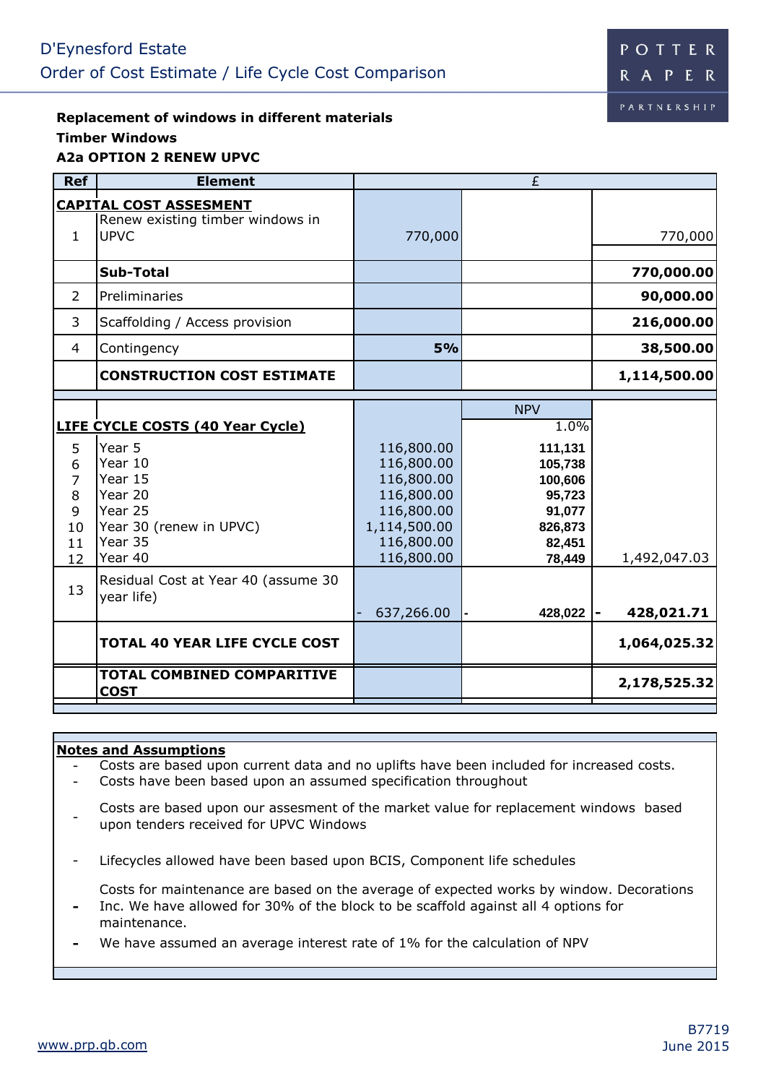**Replacement of windows in different materials Timber Windows A2a OPTION 2 RENEW UPVC**

| <b>Ref</b>                                    | <b>Element</b>                                                                                                                                                                                      |                                                                                                                | £                                                                                                      |                            |
|-----------------------------------------------|-----------------------------------------------------------------------------------------------------------------------------------------------------------------------------------------------------|----------------------------------------------------------------------------------------------------------------|--------------------------------------------------------------------------------------------------------|----------------------------|
| $\mathbf{1}$                                  | <b>CAPITAL COST ASSESMENT</b><br>Renew existing timber windows in<br><b>UPVC</b>                                                                                                                    | 770,000                                                                                                        |                                                                                                        | 770,000                    |
|                                               | <b>Sub-Total</b>                                                                                                                                                                                    |                                                                                                                |                                                                                                        | 770,000.00                 |
| $\overline{2}$                                | Preliminaries                                                                                                                                                                                       |                                                                                                                |                                                                                                        | 90,000.00                  |
| 3                                             | Scaffolding / Access provision                                                                                                                                                                      |                                                                                                                |                                                                                                        | 216,000.00                 |
| 4                                             | Contingency                                                                                                                                                                                         | 5%                                                                                                             |                                                                                                        | 38,500.00                  |
|                                               | <b>CONSTRUCTION COST ESTIMATE</b>                                                                                                                                                                   |                                                                                                                |                                                                                                        | 1,114,500.00               |
| 5<br>6<br>7<br>8<br>9<br>10<br>11<br>12<br>13 | <b>LIFE CYCLE COSTS (40 Year Cycle)</b><br>Year 5<br>Year 10<br>Year 15<br>Year 20<br>Year 25<br>Year 30 (renew in UPVC)<br>Year 35<br>Year 40<br>Residual Cost at Year 40 (assume 30<br>year life) | 116,800.00<br>116,800.00<br>116,800.00<br>116,800.00<br>116,800.00<br>1,114,500.00<br>116,800.00<br>116,800.00 | <b>NPV</b><br>1.0%<br>111,131<br>105,738<br>100,606<br>95,723<br>91,077<br>826,873<br>82,451<br>78,449 | 1,492,047.03               |
|                                               | <b>TOTAL 40 YEAR LIFE CYCLE COST</b>                                                                                                                                                                | 637,266.00                                                                                                     | 428,022                                                                                                | 428,021.71<br>1,064,025.32 |
|                                               | <b>TOTAL COMBINED COMPARITIVE</b><br><b>COST</b>                                                                                                                                                    |                                                                                                                |                                                                                                        | 2,178,525.32               |

### **Notes and Assumptions**

- Costs are based upon current data and no uplifts have been included for increased costs.

- Costs have been based upon an assumed specification throughout
- Costs are based upon our assesment of the market value for replacement windows based upon tenders received for UPVC Windows
- Lifecycles allowed have been based upon BCIS, Component life schedules

Costs for maintenance are based on the average of expected works by window. Decorations Inc. We have allowed for 30% of the block to be scaffold against all 4 options for

- maintenance.
- **-** We have assumed an average interest rate of 1% for the calculation of NPV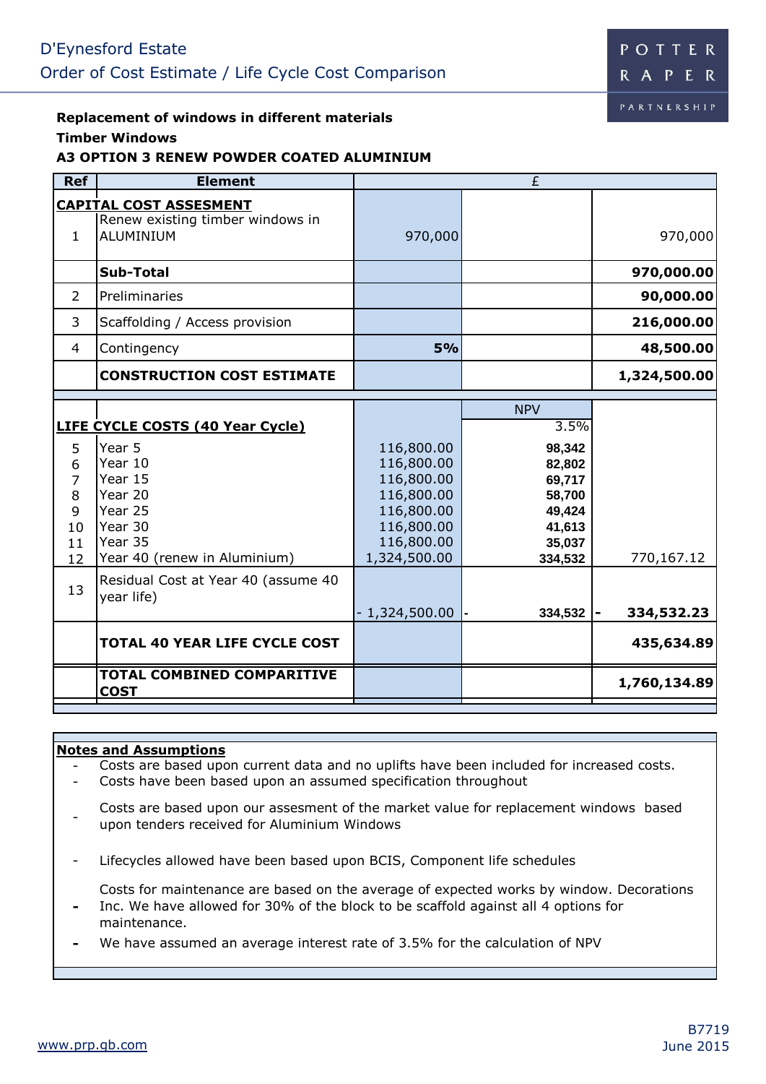#### **Replacement of windows in different materials Timber Windows**

# **A3 OPTION 3 RENEW POWDER COATED ALUMINIUM**

| <b>Ref</b>                                                 | <b>Element</b>                                                                                                                                                                                           |                                                                                                                | £                                                                                                   |                          |
|------------------------------------------------------------|----------------------------------------------------------------------------------------------------------------------------------------------------------------------------------------------------------|----------------------------------------------------------------------------------------------------------------|-----------------------------------------------------------------------------------------------------|--------------------------|
| $\mathbf{1}$                                               | <b>CAPITAL COST ASSESMENT</b><br>Renew existing timber windows in<br><b>ALUMINIUM</b>                                                                                                                    | 970,000                                                                                                        |                                                                                                     | 970,000                  |
|                                                            | <b>Sub-Total</b>                                                                                                                                                                                         |                                                                                                                |                                                                                                     | 970,000.00               |
| 2                                                          | Preliminaries                                                                                                                                                                                            |                                                                                                                |                                                                                                     | 90,000.00                |
| 3                                                          | Scaffolding / Access provision                                                                                                                                                                           |                                                                                                                |                                                                                                     | 216,000.00               |
| $\overline{4}$                                             | Contingency                                                                                                                                                                                              | 5%                                                                                                             |                                                                                                     | 48,500.00                |
|                                                            | <b>CONSTRUCTION COST ESTIMATE</b>                                                                                                                                                                        |                                                                                                                |                                                                                                     | 1,324,500.00             |
| 5<br>6<br>7<br>8<br>9<br>10<br>11<br>12 <sup>2</sup><br>13 | <b>LIFE CYCLE COSTS (40 Year Cycle)</b><br>Year 5<br>Year 10<br>Year 15<br>Year 20<br>Year 25<br>Year 30<br>Year 35<br>Year 40 (renew in Aluminium)<br>Residual Cost at Year 40 (assume 40<br>year life) | 116,800.00<br>116,800.00<br>116,800.00<br>116,800.00<br>116,800.00<br>116,800.00<br>116,800.00<br>1,324,500.00 | <b>NPV</b><br>3.5%<br>98,342<br>82,802<br>69,717<br>58,700<br>49,424<br>41,613<br>35,037<br>334,532 | 770,167.12               |
|                                                            | <b>TOTAL 40 YEAR LIFE CYCLE COST</b>                                                                                                                                                                     | $-1,324,500.00$                                                                                                | 334,532                                                                                             | 334,532.23<br>435,634.89 |
|                                                            | <b>TOTAL COMBINED COMPARITIVE</b><br><b>COST</b>                                                                                                                                                         |                                                                                                                |                                                                                                     | 1,760,134.89             |

### **Notes and Assumptions**

- Costs are based upon current data and no uplifts have been included for increased costs.

- Costs have been based upon an assumed specification throughout
- Costs are based upon our assesment of the market value for replacement windows based upon tenders received for Aluminium Windows
- Lifecycles allowed have been based upon BCIS, Component life schedules

Costs for maintenance are based on the average of expected works by window. Decorations Inc. We have allowed for 30% of the block to be scaffold against all 4 options for

- maintenance.
- **-** We have assumed an average interest rate of 3.5% for the calculation of NPV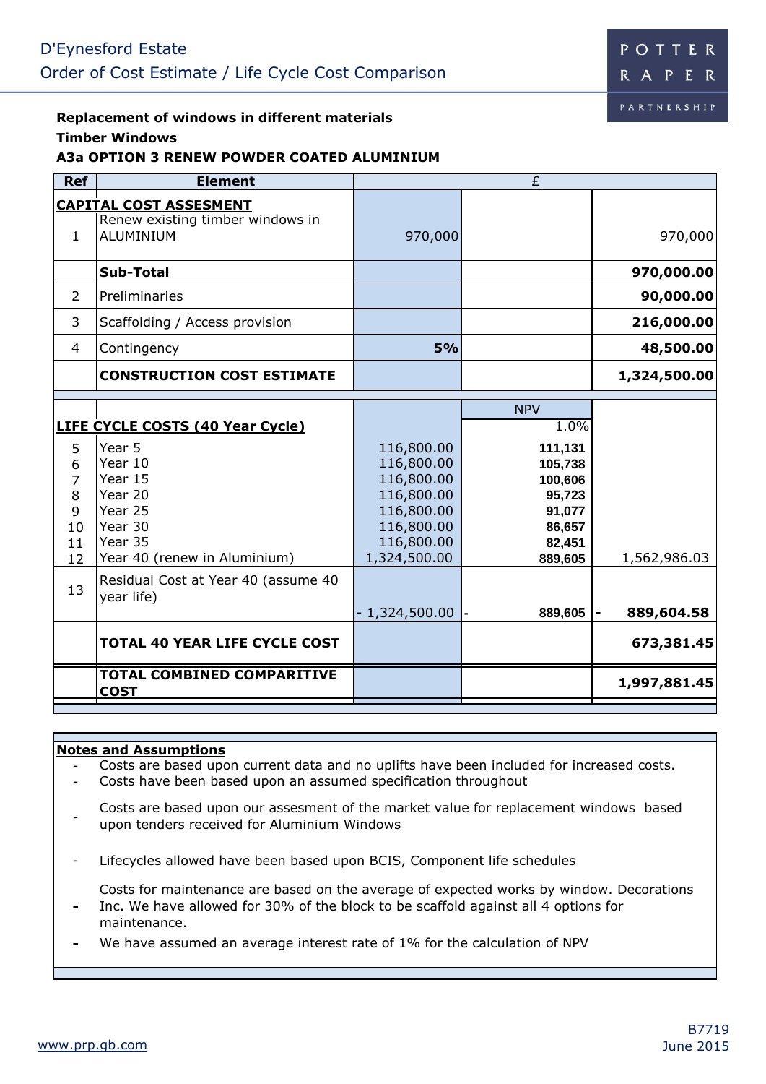# **Replacement of windows in different materials**

### **Timber Windows**

## **A3a OPTION 3 RENEW POWDER COATED ALUMINIUM**

| <b>Ref</b>                        | <b>Element</b>                                                                                               |                                                                                                | $\overline{E}$                                                                              |                            |
|-----------------------------------|--------------------------------------------------------------------------------------------------------------|------------------------------------------------------------------------------------------------|---------------------------------------------------------------------------------------------|----------------------------|
| $\mathbf{1}$                      | <b>CAPITAL COST ASSESMENT</b><br>Renew existing timber windows in<br>ALUMINIUM                               | 970,000                                                                                        |                                                                                             | 970,000                    |
|                                   | <b>Sub-Total</b>                                                                                             |                                                                                                |                                                                                             | 970,000.00                 |
| $\overline{2}$                    | Preliminaries                                                                                                |                                                                                                |                                                                                             | 90,000.00                  |
| 3                                 | Scaffolding / Access provision                                                                               |                                                                                                |                                                                                             | 216,000.00                 |
| 4                                 | Contingency                                                                                                  | 5%                                                                                             |                                                                                             | 48,500.00                  |
|                                   | <b>CONSTRUCTION COST ESTIMATE</b>                                                                            |                                                                                                |                                                                                             | 1,324,500.00               |
| 5<br>6<br>7<br>8<br>9<br>10<br>11 | LIFE CYCLE COSTS (40 Year Cycle)<br>Year 5<br>Year 10<br>Year 15<br>Year 20<br>Year 25<br>Year 30<br>Year 35 | 116,800.00<br>116,800.00<br>116,800.00<br>116,800.00<br>116,800.00<br>116,800.00<br>116,800.00 | <b>NPV</b><br>1.0%<br>111,131<br>105,738<br>100,606<br>95,723<br>91,077<br>86,657<br>82,451 |                            |
| 12<br>13                          | Year 40 (renew in Aluminium)<br>Residual Cost at Year 40 (assume 40<br>year life)                            | 1,324,500.00<br>$-1,324,500.00$                                                                | 889,605<br>889,605                                                                          | 1,562,986.03<br>889,604.58 |
|                                   | <b>TOTAL 40 YEAR LIFE CYCLE COST</b>                                                                         |                                                                                                |                                                                                             | 673,381.45                 |
|                                   | <b>TOTAL COMBINED COMPARITIVE</b><br><b>COST</b>                                                             |                                                                                                |                                                                                             | 1,997,881.45               |

### **Notes and Assumptions**

- Costs are based upon current data and no uplifts have been included for increased costs.

- Costs have been based upon an assumed specification throughout
- Costs are based upon our assesment of the market value for replacement windows based upon tenders received for Aluminium Windows
- Lifecycles allowed have been based upon BCIS, Component life schedules

Costs for maintenance are based on the average of expected works by window. Decorations Inc. We have allowed for 30% of the block to be scaffold against all 4 options for

- maintenance.
- **-** We have assumed an average interest rate of 1% for the calculation of NPV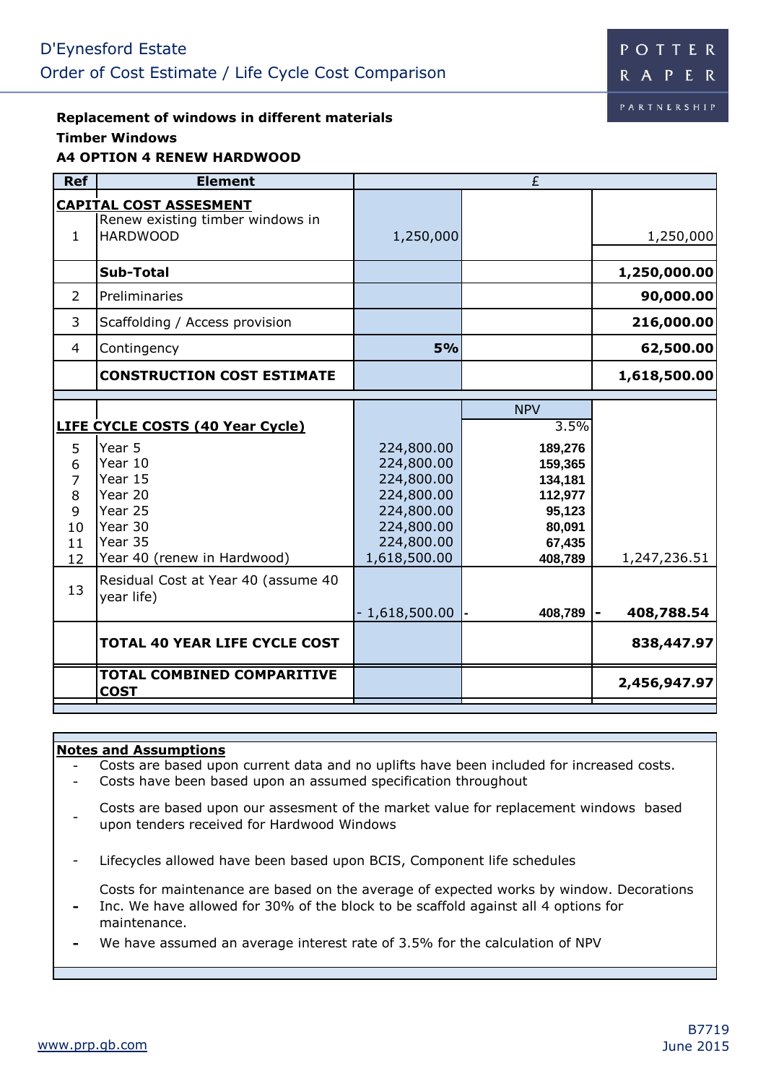### **Replacement of windows in different materials Timber Windows A4 OPTION 4 RENEW HARDWOOD**

| <b>Ref</b>                                                 | <b>Element</b>                                                                                                                                                                                          |                                                                                                                | £                                                                                                       |                          |
|------------------------------------------------------------|---------------------------------------------------------------------------------------------------------------------------------------------------------------------------------------------------------|----------------------------------------------------------------------------------------------------------------|---------------------------------------------------------------------------------------------------------|--------------------------|
| $\mathbf{1}$                                               | <b>CAPITAL COST ASSESMENT</b><br>Renew existing timber windows in<br><b>HARDWOOD</b>                                                                                                                    | 1,250,000                                                                                                      |                                                                                                         | 1,250,000                |
|                                                            | <b>Sub-Total</b>                                                                                                                                                                                        |                                                                                                                |                                                                                                         | 1,250,000.00             |
| $\overline{2}$                                             | Preliminaries                                                                                                                                                                                           |                                                                                                                |                                                                                                         | 90,000.00                |
| 3                                                          | Scaffolding / Access provision                                                                                                                                                                          |                                                                                                                |                                                                                                         | 216,000.00               |
| 4                                                          | Contingency                                                                                                                                                                                             | 5%                                                                                                             |                                                                                                         | 62,500.00                |
|                                                            | <b>CONSTRUCTION COST ESTIMATE</b>                                                                                                                                                                       |                                                                                                                |                                                                                                         | 1,618,500.00             |
| 5<br>6<br>$\overline{7}$<br>8<br>9<br>10<br>11<br>12<br>13 | <b>LIFE CYCLE COSTS (40 Year Cycle)</b><br>Year 5<br>Year 10<br>Year 15<br>Year 20<br>Year 25<br>Year 30<br>Year 35<br>Year 40 (renew in Hardwood)<br>Residual Cost at Year 40 (assume 40<br>year life) | 224,800.00<br>224,800.00<br>224,800.00<br>224,800.00<br>224,800.00<br>224,800.00<br>224,800.00<br>1,618,500.00 | <b>NPV</b><br>3.5%<br>189,276<br>159,365<br>134,181<br>112,977<br>95,123<br>80,091<br>67,435<br>408,789 | 1,247,236.51             |
|                                                            | <b>TOTAL 40 YEAR LIFE CYCLE COST</b>                                                                                                                                                                    | $-1,618,500.00$                                                                                                | 408,789                                                                                                 | 408,788.54<br>838,447.97 |
|                                                            | <b>TOTAL COMBINED COMPARITIVE</b><br><b>COST</b>                                                                                                                                                        |                                                                                                                |                                                                                                         | 2,456,947.97             |

### **Notes and Assumptions**

- Costs are based upon current data and no uplifts have been included for increased costs.

- Costs have been based upon an assumed specification throughout
- Costs are based upon our assesment of the market value for replacement windows based upon tenders received for Hardwood Windows
- Lifecycles allowed have been based upon BCIS, Component life schedules

Costs for maintenance are based on the average of expected works by window. Decorations Inc. We have allowed for 30% of the block to be scaffold against all 4 options for

- maintenance.
- **-** We have assumed an average interest rate of 3.5% for the calculation of NPV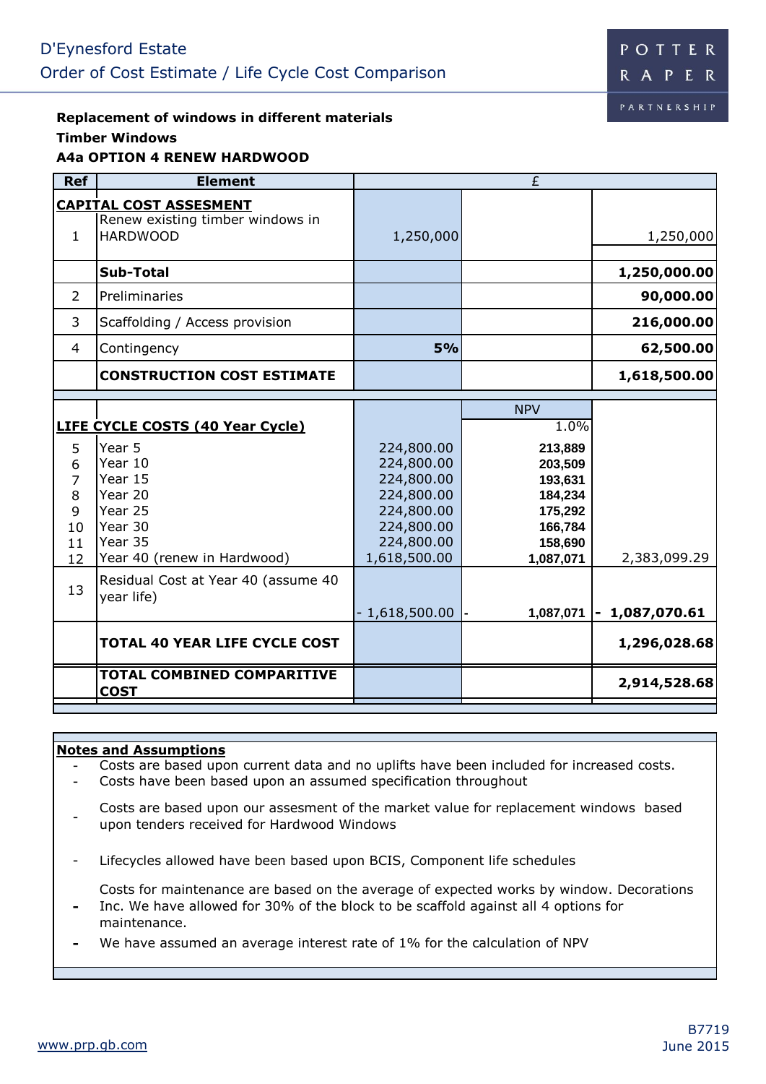# **Replacement of windows in different materials Timber Windows**

## **A4a OPTION 4 RENEW HARDWOOD Ref Element CAPITAL COST ASSESMENT** 1 Renew existing timber windows in HARDWOOD 1,250,000 1,250,000 **Sub-Total 1,250,000.00**  2 Preliminaries **90,000.00**  3 Scaffolding / Access provision **216,000.00**  4 Contingency **5% 62,500.00 CONSTRUCTION COST ESTIMATE 1,618,500.00**  NPV **LIFE CYCLE COSTS (40 Year Cycle)** 1.0% 5 Year 5 224,800.00 **213,889** 6 Year 10 224,800.00 **203,509** 7 Year 15 224,800.00 **193,631** 8 Year 20 224,800.00 **184,234** 9 Year 25 224,800.00 **175,292** 10 Year 30 224,800.00 **166,784** 11 Year 35 **12 Sear 35** 224,800.00 **158,690**<br>12 Year 40 (renew in Hardwood) 1,618,500.00 **1,087,071** 12 Year 40 (renew in Hardwood) 1,618,500.00 **1,087,071** 2,383,099.29 13 Residual Cost at Year 40 (assume 40 year life) - 1,618,500.00 **- 1,087,071 - 1,087,070.61 TOTAL 40 YEAR LIFE CYCLE COST 1,296,028.68 TOTAL COMBINED COMPARITIVE COST** 2,914,528.68 £

### **Notes and Assumptions**

- Costs are based upon current data and no uplifts have been included for increased costs.

- Costs have been based upon an assumed specification throughout
- Costs are based upon our assesment of the market value for replacement windows based upon tenders received for Hardwood Windows
- Lifecycles allowed have been based upon BCIS, Component life schedules

Costs for maintenance are based on the average of expected works by window. Decorations Inc. We have allowed for 30% of the block to be scaffold against all 4 options for

- maintenance.
- **-** We have assumed an average interest rate of 1% for the calculation of NPV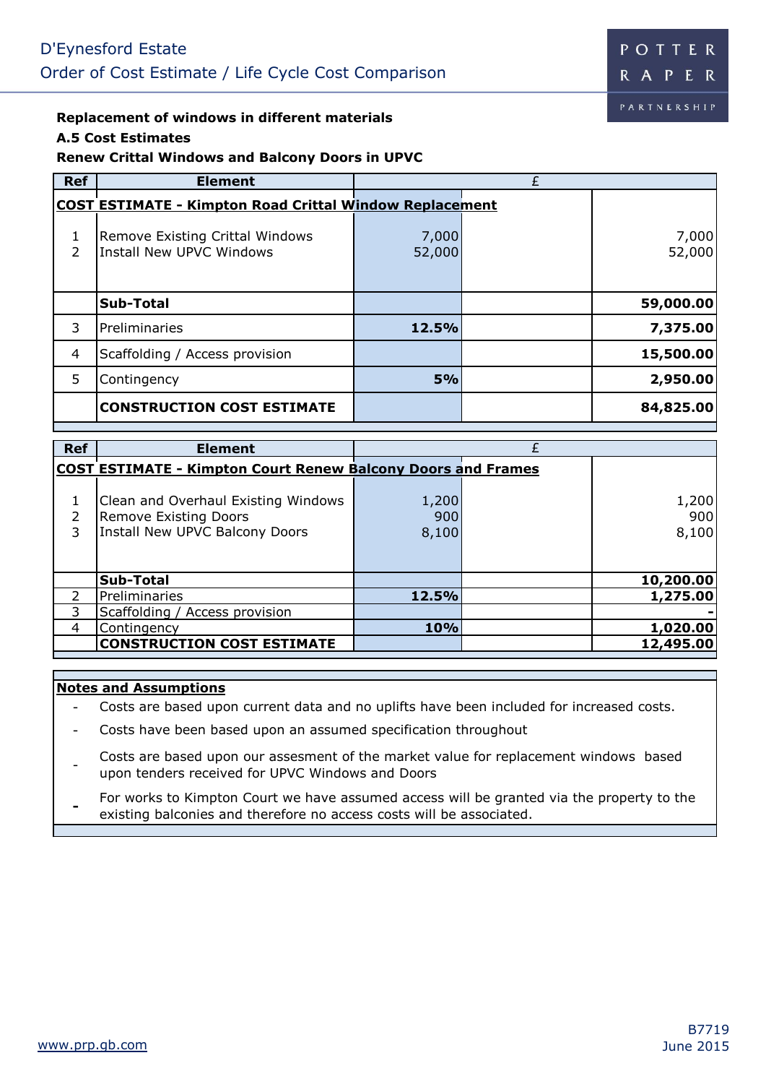## **Replacement of windows in different materials**

### **A.5 Cost Estimates**

## **Renew Crittal Windows and Balcony Doors in UPVC**

| <b>Ref</b> | <b>Element</b>                                                 |                 |                 |
|------------|----------------------------------------------------------------|-----------------|-----------------|
|            | <b>COST ESTIMATE - Kimpton Road Crittal Window Replacement</b> |                 |                 |
| C.         | Remove Existing Crittal Windows<br>Install New UPVC Windows    | 7,000<br>52,000 | 7,000<br>52,000 |
|            | <b>Sub-Total</b>                                               |                 | 59,000.00       |
| 3          | Preliminaries                                                  | 12.5%           | 7,375.00        |
| 4          | Scaffolding / Access provision                                 |                 | 15,500.00       |
| 5          | Contingency                                                    | 5%              | 2,950.00        |
|            | <b>CONSTRUCTION COST ESTIMATE</b>                              |                 | 84,825.00       |

| <b>Ref</b> | <b>Element</b>                                                                                        |                       |                       |
|------------|-------------------------------------------------------------------------------------------------------|-----------------------|-----------------------|
|            | <b>COST ESTIMATE - Kimpton Court Renew Balcony Doors and Frames</b>                                   |                       |                       |
| 3          | Clean and Overhaul Existing Windows<br><b>Remove Existing Doors</b><br>Install New UPVC Balcony Doors | 1,200<br>900<br>8,100 | 1,200<br>900<br>8,100 |
|            | <b>Sub-Total</b>                                                                                      |                       | 10,200.00             |
|            | Preliminaries                                                                                         | 12.5%                 | 1,275.00              |
| 3          | Scaffolding / Access provision                                                                        |                       |                       |
| 4          | Contingency                                                                                           | 10%                   | 1,020.00              |
|            | <b>CONSTRUCTION COST ESTIMATE</b>                                                                     |                       | 12,495.00             |

#### **Notes and Assumptions**

- Costs are based upon current data and no uplifts have been included for increased costs.

- Costs have been based upon an assumed specification throughout

- Costs are based upon our assesment of the market value for replacement windows based upon tenders received for UPVC Windows and Doors

**-** For works to Kimpton Court we have assumed access will be granted via the property to the existing balconies and therefore no access costs will be associated.